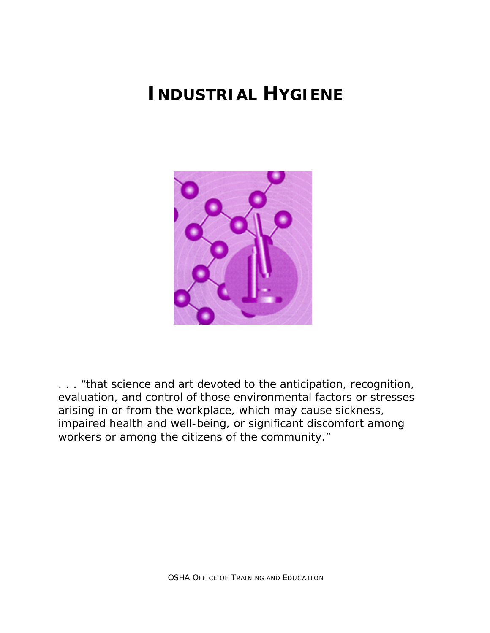# **INDUSTRIAL HYGIENE**



*. . . "that science and art devoted to the anticipation, recognition, evaluation, and control of those environmental factors or stresses arising in or from the workplace, which may cause sickness, impaired health and well-being, or significant discomfort among workers or among the citizens of the community."*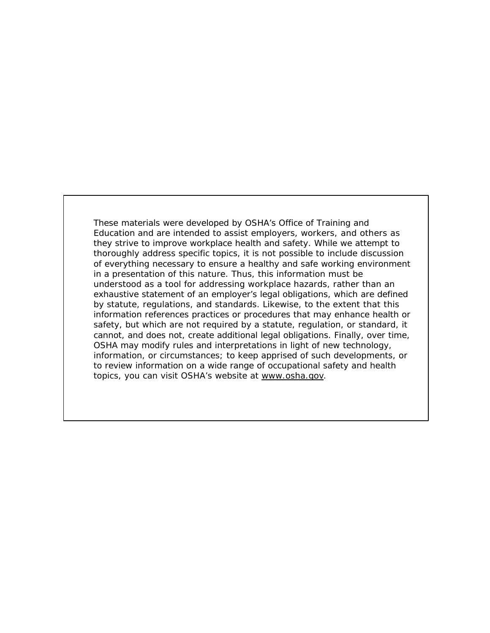These materials were developed by OSHA's Office of Training and Education and are intended to assist employers, workers, and others as they strive to improve workplace health and safety. While we attempt to thoroughly address specific topics, it is not possible to include discussion of everything necessary to ensure a healthy and safe working environment in a presentation of this nature. Thus, this information must be understood as a tool for addressing workplace hazards, rather than an exhaustive statement of an employer's legal obligations, which are defined by statute, regulations, and standards. Likewise, to the extent that this information references practices or procedures that may enhance health or safety, but which are not required by a statute, regulation, or standard, it cannot, and does not, create additional legal obligations. Finally, over time, OSHA may modify rules and interpretations in light of new technology, information, or circumstances; to keep apprised of such developments, or to review information on a wide range of occupational safety and health topics, you can visit OSHA's website at www.osha.gov.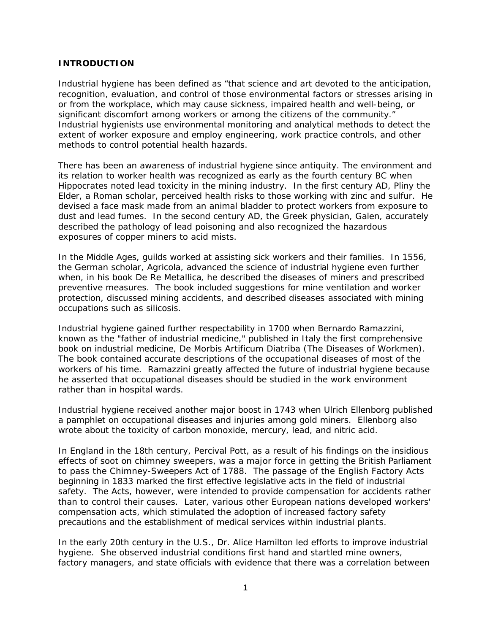### **INTRODUCTION**

Industrial hygiene has been defined as "that science and art devoted to the anticipation, recognition, evaluation, and control of those environmental factors or stresses arising in or from the workplace, which may cause sickness, impaired health and well-being, or significant discomfort among workers or among the citizens of the community." Industrial hygienists use environmental monitoring and analytical methods to detect the extent of worker exposure and employ engineering, work practice controls, and other methods to control potential health hazards.

There has been an awareness of industrial hygiene since antiquity. The environment and its relation to worker health was recognized as early as the fourth century BC when Hippocrates noted lead toxicity in the mining industry. In the first century AD, Pliny the Elder, a Roman scholar, perceived health risks to those working with zinc and sulfur. He devised a face mask made from an animal bladder to protect workers from exposure to dust and lead fumes. In the second century AD, the Greek physician, Galen, accurately described the pathology of lead poisoning and also recognized the hazardous exposures of copper miners to acid mists.

In the Middle Ages, guilds worked at assisting sick workers and their families. In 1556, the German scholar, Agricola, advanced the science of industrial hygiene even further when, in his book *De Re Metallica*, he described the diseases of miners and prescribed preventive measures. The book included suggestions for mine ventilation and worker protection, discussed mining accidents, and described diseases associated with mining occupations such as silicosis.

Industrial hygiene gained further respectability in 1700 when Bernardo Ramazzini, known as the "father of industrial medicine," published in Italy the first comprehensive book on industrial medicine, *De Morbis Artificum Diatriba (The Diseases of Workmen)*. The book contained accurate descriptions of the occupational diseases of most of the workers of his time. Ramazzini greatly affected the future of industrial hygiene because he asserted that occupational diseases should be studied in the work environment rather than in hospital wards.

Industrial hygiene received another major boost in 1743 when Ulrich Ellenborg published a pamphlet on occupational diseases and injuries among gold miners. Ellenborg also wrote about the toxicity of carbon monoxide, mercury, lead, and nitric acid.

In England in the 18th century, Percival Pott, as a result of his findings on the insidious effects of soot on chimney sweepers, was a major force in getting the British Parliament to pass the *Chimney-Sweepers Act of 1788*. The passage of the English Factory Acts beginning in 1833 marked the first effective legislative acts in the field of industrial safety. The Acts, however, were intended to provide compensation for accidents rather than to control their causes. Later, various other European nations developed workers' compensation acts, which stimulated the adoption of increased factory safety precautions and the establishment of medical services within industrial plants.

In the early 20th century in the U.S., Dr. Alice Hamilton led efforts to improve industrial hygiene. She observed industrial conditions first hand and startled mine owners, factory managers, and state officials with evidence that there was a correlation between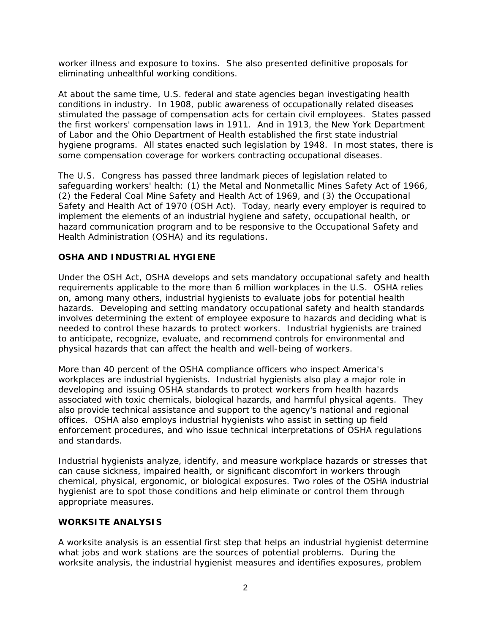worker illness and exposure to toxins. She also presented definitive proposals for eliminating unhealthful working conditions.

At about the same time, U.S. federal and state agencies began investigating health conditions in industry. In 1908, public awareness of occupationally related diseases stimulated the passage of compensation acts for certain civil employees. States passed the first workers' compensation laws in 1911. And in 1913, the New York Department of Labor and the Ohio Department of Health established the first state industrial hygiene programs. All states enacted such legislation by 1948. In most states, there is some compensation coverage for workers contracting occupational diseases.

The U.S. Congress has passed three landmark pieces of legislation related to safeguarding workers' health: (1) the *Metal and Nonmetallic Mines Safety Act of 1966*, (2) the *Federal Coal Mine Safety and Health Act of 1969*, and (3) the *Occupational Safety and Health Act of 1970 (OSH Act)*. Today, nearly every employer is required to implement the elements of an industrial hygiene and safety, occupational health, or hazard communication program and to be responsive to the Occupational Safety and Health Administration (OSHA) and its regulations.

## **OSHA AND INDUSTRIAL HYGIENE**

Under the *OSH Act*, OSHA develops and sets mandatory occupational safety and health requirements applicable to the more than 6 million workplaces in the U.S. OSHA relies on, among many others, industrial hygienists to evaluate jobs for potential health hazards. Developing and setting mandatory occupational safety and health standards involves determining the extent of employee exposure to hazards and deciding what is needed to control these hazards to protect workers. Industrial hygienists are trained to anticipate, recognize, evaluate, and recommend controls for environmental and physical hazards that can affect the health and well-being of workers.

More than 40 percent of the OSHA compliance officers who inspect America's workplaces are industrial hygienists. Industrial hygienists also play a major role in developing and issuing OSHA standards to protect workers from health hazards associated with toxic chemicals, biological hazards, and harmful physical agents. They also provide technical assistance and support to the agency's national and regional offices. OSHA also employs industrial hygienists who assist in setting up field enforcement procedures, and who issue technical interpretations of OSHA regulations and standards.

Industrial hygienists analyze, identify, and measure workplace hazards or stresses that can cause sickness, impaired health, or significant discomfort in workers through chemical, physical, ergonomic, or biological exposures. Two roles of the OSHA industrial hygienist are to spot those conditions and help eliminate or control them through appropriate measures.

#### **WORKSITE ANALYSIS**

A worksite analysis is an essential first step that helps an industrial hygienist determine what jobs and work stations are the sources of potential problems. During the worksite analysis, the industrial hygienist measures and identifies exposures, problem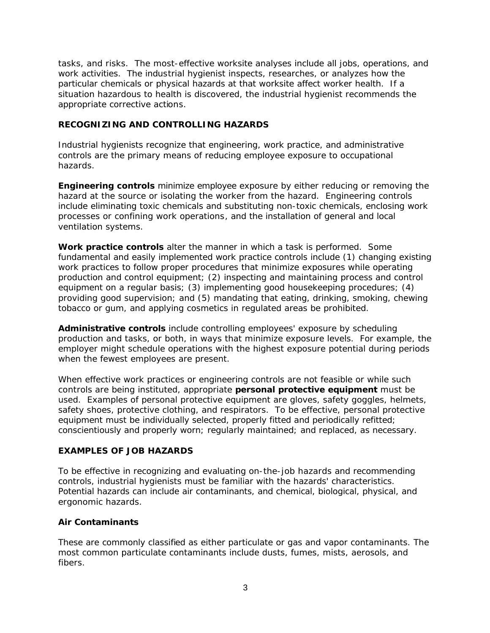tasks, and risks. The most-effective worksite analyses include all jobs, operations, and work activities. The industrial hygienist inspects, researches, or analyzes how the particular chemicals or physical hazards at that worksite affect worker health. If a situation hazardous to health is discovered, the industrial hygienist recommends the appropriate corrective actions.

#### **RECOGNIZING AND CONTROLLING HAZARDS**

Industrial hygienists recognize that engineering, work practice, and administrative controls are the primary means of reducing employee exposure to occupational hazards.

**Engineering controls** minimize employee exposure by either reducing or removing the hazard at the source or isolating the worker from the hazard. Engineering controls include eliminating toxic chemicals and substituting non-toxic chemicals, enclosing work processes or confining work operations, and the installation of general and local ventilation systems.

**Work practice controls** alter the manner in which a task is performed. Some fundamental and easily implemented work practice controls include (1) changing existing work practices to follow proper procedures that minimize exposures while operating production and control equipment; (2) inspecting and maintaining process and control equipment on a regular basis; (3) implementing good housekeeping procedures; (4) providing good supervision; and (5) mandating that eating, drinking, smoking, chewing tobacco or gum, and applying cosmetics in regulated areas be prohibited.

**Administrative controls** include controlling employees' exposure by scheduling production and tasks, or both, in ways that minimize exposure levels. For example, the employer might schedule operations with the highest exposure potential during periods when the fewest employees are present.

When effective work practices or engineering controls are not feasible or while such controls are being instituted, appropriate **personal protective equipment** must be used. Examples of personal protective equipment are gloves, safety goggles, helmets, safety shoes, protective clothing, and respirators. To be effective, personal protective equipment must be individually selected, properly fitted and periodically refitted; conscientiously and properly worn; regularly maintained; and replaced, as necessary.

#### **EXAMPLES OF JOB HAZARDS**

To be effective in recognizing and evaluating on-the-job hazards and recommending controls, industrial hygienists must be familiar with the hazards' characteristics. Potential hazards can include air contaminants, and chemical, biological, physical, and ergonomic hazards.

#### **Air Contaminants**

These are commonly classified as either particulate or gas and vapor contaminants. The most common particulate contaminants include dusts, fumes, mists, aerosols, and fibers.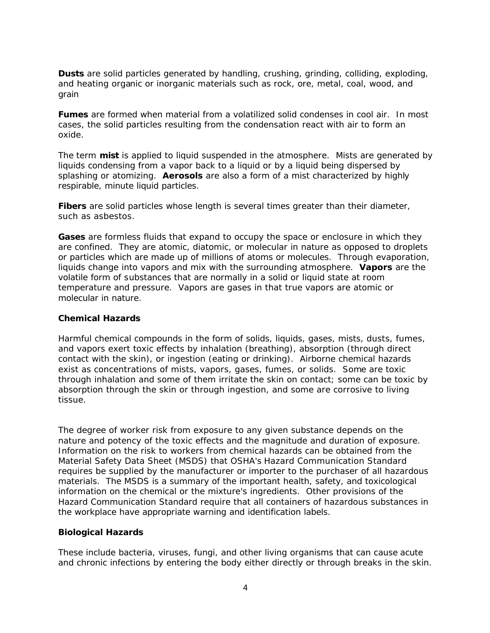**Dusts** are solid particles generated by handling, crushing, grinding, colliding, exploding, and heating organic or inorganic materials such as rock, ore, metal, coal, wood, and grain

**Fumes** are formed when material from a volatilized solid condenses in cool air. In most cases, the solid particles resulting from the condensation react with air to form an oxide.

The term **mist** is applied to liquid suspended in the atmosphere. Mists are generated by liquids condensing from a vapor back to a liquid or by a liquid being dispersed by splashing or atomizing. **Aerosols** are also a form of a mist characterized by highly respirable, minute liquid particles.

**Fibers** are solid particles whose length is several times greater than their diameter, such as asbestos.

**Gases** are formless fluids that expand to occupy the space or enclosure in which they are confined. They are atomic, diatomic, or molecular in nature as opposed to droplets or particles which are made up of millions of atoms or molecules. Through evaporation, liquids change into vapors and mix with the surrounding atmosphere. **Vapors** are the volatile form of substances that are normally in a solid or liquid state at room temperature and pressure. Vapors are gases in that true vapors are atomic or molecular in nature.

#### **Chemical Hazards**

Harmful chemical compounds in the form of solids, liquids, gases, mists, dusts, fumes, and vapors exert toxic effects by inhalation (breathing), absorption (through direct contact with the skin), or ingestion (eating or drinking). Airborne chemical hazards exist as concentrations of mists, vapors, gases, fumes, or solids. Some are toxic through inhalation and some of them irritate the skin on contact; some can be toxic by absorption through the skin or through ingestion, and some are corrosive to living tissue.

The degree of worker risk from exposure to any given substance depends on the nature and potency of the toxic effects and the magnitude and duration of exposure. Information on the risk to workers from chemical hazards can be obtained from the Material Safety Data Sheet (MSDS) that OSHA's *Hazard Communication Standard* requires be supplied by the manufacturer or importer to the purchaser of all hazardous materials. The MSDS is a summary of the important health, safety, and toxicological information on the chemical or the mixture's ingredients. Other provisions of the Hazard Communication Standard require that all containers of hazardous substances in the workplace have appropriate warning and identification labels.

#### **Biological Hazards**

These include bacteria, viruses, fungi, and other living organisms that can cause acute and chronic infections by entering the body either directly or through breaks in the skin.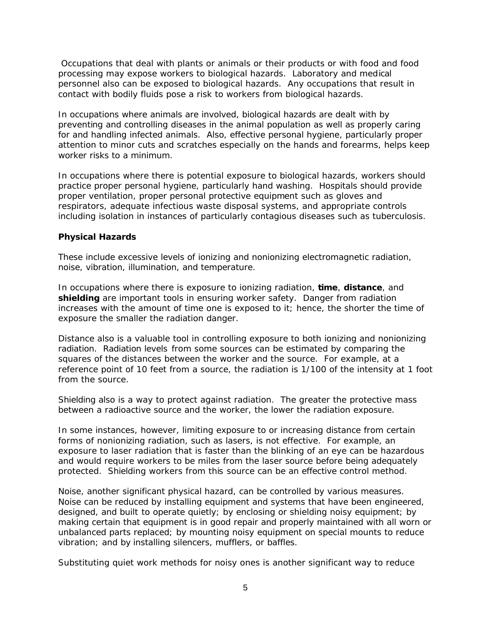Occupations that deal with plants or animals or their products or with food and food processing may expose workers to biological hazards. Laboratory and medical personnel also can be exposed to biological hazards. Any occupations that result in contact with bodily fluids pose a risk to workers from biological hazards.

In occupations where animals are involved, biological hazards are dealt with by preventing and controlling diseases in the animal population as well as properly caring for and handling infected animals. Also, effective personal hygiene, particularly proper attention to minor cuts and scratches especially on the hands and forearms, helps keep worker risks to a minimum.

In occupations where there is potential exposure to biological hazards, workers should practice proper personal hygiene, particularly hand washing. Hospitals should provide proper ventilation, proper personal protective equipment such as gloves and respirators, adequate infectious waste disposal systems, and appropriate controls including isolation in instances of particularly contagious diseases such as tuberculosis.

#### **Physical Hazards**

These include excessive levels of ionizing and nonionizing electromagnetic radiation, noise, vibration, illumination, and temperature.

In occupations where there is exposure to ionizing radiation, **time**, **distance**, and **shielding** are important tools in ensuring worker safety. Danger from radiation increases with the amount of time one is exposed to it; hence, the shorter the time of exposure the smaller the radiation danger.

Distance also is a valuable tool in controlling exposure to both ionizing and nonionizing radiation. Radiation levels from some sources can be estimated by comparing the squares of the distances between the worker and the source. For example, at a reference point of 10 feet from a source, the radiation is 1/100 of the intensity at 1 foot from the source.

Shielding also is a way to protect against radiation. The greater the protective mass between a radioactive source and the worker, the lower the radiation exposure.

In some instances, however, limiting exposure to or increasing distance from certain forms of nonionizing radiation, such as lasers, is not effective. For example, an exposure to laser radiation that is faster than the blinking of an eye can be hazardous and would require workers to be miles from the laser source before being adequately protected. Shielding workers from this source can be an effective control method.

Noise, another significant physical hazard, can be controlled by various measures. Noise can be reduced by installing equipment and systems that have been engineered, designed, and built to operate quietly; by enclosing or shielding noisy equipment; by making certain that equipment is in good repair and properly maintained with all worn or unbalanced parts replaced; by mounting noisy equipment on special mounts to reduce vibration; and by installing silencers, mufflers, or baffles.

Substituting quiet work methods for noisy ones is another significant way to reduce